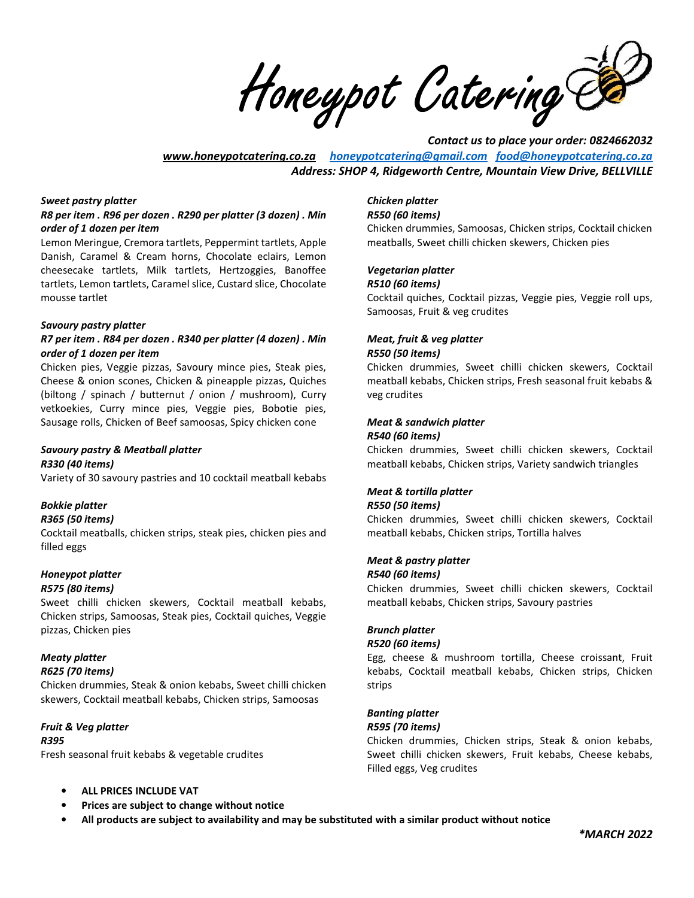Honeypot Catering Ce

*Contact us to place your order: 0824662032 www.honeypotcatering.co.za honeypotcatering@gmail.com food@honeypotcatering.co.za Address: SHOP 4, Ridgeworth Centre, Mountain View Drive, BELLVILLE* 

#### *Sweet pastry platter*

#### *R8 per item . R96 per dozen . R290 per platter (3 dozen) . Min order of 1 dozen per item*

Lemon Meringue, Cremora tartlets, Peppermint tartlets, Apple Danish, Caramel & Cream horns, Chocolate eclairs, Lemon cheesecake tartlets, Milk tartlets, Hertzoggies, Banoffee tartlets, Lemon tartlets, Caramel slice, Custard slice, Chocolate mousse tartlet

#### *Savoury pastry platter*

#### *R7 per item . R84 per dozen . R340 per platter (4 dozen) . Min order of 1 dozen per item*

Chicken pies, Veggie pizzas, Savoury mince pies, Steak pies, Cheese & onion scones, Chicken & pineapple pizzas, Quiches (biltong / spinach / butternut / onion / mushroom), Curry vetkoekies, Curry mince pies, Veggie pies, Bobotie pies, Sausage rolls, Chicken of Beef samoosas, Spicy chicken cone

### *Savoury pastry & Meatball platter R330 (40 items)*

Variety of 30 savoury pastries and 10 cocktail meatball kebabs

### *Bokkie platter*

#### *R365 (50 items)*

Cocktail meatballs, chicken strips, steak pies, chicken pies and filled eggs

#### *Honeypot platter R575 (80 items)*

Sweet chilli chicken skewers, Cocktail meatball kebabs, Chicken strips, Samoosas, Steak pies, Cocktail quiches, Veggie pizzas, Chicken pies

# *Meaty platter*

#### *R625 (70 items)*

Chicken drummies, Steak & onion kebabs, Sweet chilli chicken skewers, Cocktail meatball kebabs, Chicken strips, Samoosas

# *Fruit & Veg platter*

### *R395*

Fresh seasonal fruit kebabs & vegetable crudites

# • **ALL PRICES INCLUDE VAT**

• **Prices are subject to change without notice** 

### *Chicken platter*

#### *R550 (60 items)*

Chicken drummies, Samoosas, Chicken strips, Cocktail chicken meatballs, Sweet chilli chicken skewers, Chicken pies

# *Vegetarian platter*

### *R510 (60 items)*

Cocktail quiches, Cocktail pizzas, Veggie pies, Veggie roll ups, Samoosas, Fruit & veg crudites

#### *Meat, fruit & veg platter R550 (50 items)*

Chicken drummies, Sweet chilli chicken skewers, Cocktail meatball kebabs, Chicken strips, Fresh seasonal fruit kebabs & veg crudites

## *Meat & sandwich platter*

#### *R540 (60 items)*

Chicken drummies, Sweet chilli chicken skewers, Cocktail meatball kebabs, Chicken strips, Variety sandwich triangles

### *Meat & tortilla platter*

#### *R550 (50 items)*

Chicken drummies, Sweet chilli chicken skewers, Cocktail meatball kebabs, Chicken strips, Tortilla halves

#### *Meat & pastry platter*

#### *R540 (60 items)*

Chicken drummies, Sweet chilli chicken skewers, Cocktail meatball kebabs, Chicken strips, Savoury pastries

#### *Brunch platter*

#### *R520 (60 items)*

Egg, cheese & mushroom tortilla, Cheese croissant, Fruit kebabs, Cocktail meatball kebabs, Chicken strips, Chicken strips

### *Banting platter*

#### *R595 (70 items)*

Chicken drummies, Chicken strips, Steak & onion kebabs, Sweet chilli chicken skewers, Fruit kebabs, Cheese kebabs, Filled eggs, Veg crudites

• **All products are subject to availability and may be substituted with a similar product without notice**